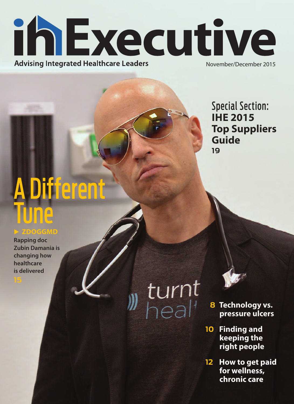

Special Section: **IHE 2015 Top Suppliers Guide 19**

## A Different une

### X **ZDOGGMD**

**Rapping doc Zubin Damania is changing how healthcare is delivered**

# , turnt<br><sup>,</sup> heal'

 **8 Technology vs. pressure ulcers** 

- **10 Finding and keeping the right people**
- **12 How to get paid for wellness, chronic care**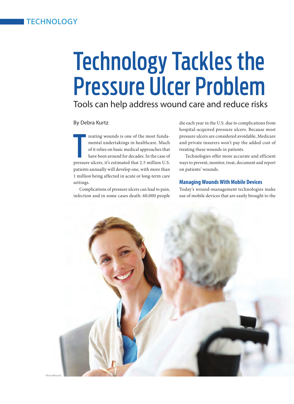### Technology Tackles the Pressure Ulcer Problem

Tools can help address wound care and reduce risks

### By Debra Kurtz

reating wounds is one of the most funda-<br>mental undertakings in healthcare. Much<br>of it relies on basic medical approaches that<br>have been around for decades. In the case of<br>pressure ulcers, it's estimated that 2.5 million U reating wounds is one of the most fundamental undertakings in healthcare. Much of it relies on basic medical approaches that have been around for decades. In the case of patients annually will develop one, with more than 1 million being affected in acute or long-term care settings.

Complications of pressure ulcers can lead to pain, infection and in some cases death: 60,000 people die each year in the U.S. due to complications from hospital-acquired pressure ulcers. Because most pressure ulcers are considered avoidable, Medicare and private insurers won't pay the added cost of treating these wounds in patients.

Technologies offer more accurate and efficient ways to prevent, monitor, treat, document and report on patients' wounds.

### **Managing Wounds With Mobile Devices**

Today's wound-management technologies make use of mobile devices that are easily brought to the

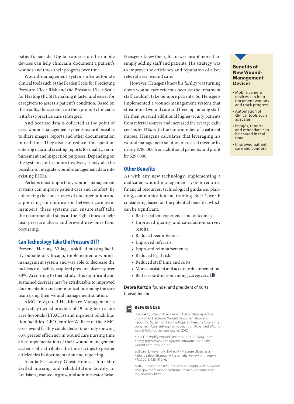patient's bedside. Digital cameras on the mobile devices can help clinicians document a patient's wounds and track their progress over time.

Wound-management systems also automate clinical tools such as the Braden Scale for Predicting Pressure Ulcer Risk and the Pressure Ulcer Scale for Healing (PUSH), making it faster and easier for caregivers to assess a patient's condition. Based on the results, the systems can then prompt clinicians with best-practice care strategies.

And because data is collected at the point of care, wound-management systems make it possible to share images, reports and other documentation in real time. They also can reduce time spent on entering data and creating reports for quality, reimbursement and inspection purposes. Depending on the systems and vendors involved, it may also be possible to integrate wound-management data into existing EHRs.

Perhaps most important, wound-management systems can improve patient care and comfort. By enhancing the consistency of documentation and supporting communication between care team members, these systems can ensure staff take the recommended steps at the right times to help heal pressure ulcers and prevent new ones from occurring.

### **Can Technology Take the Pressure Off?**

Presence Heritage Village, a skilled nursing facility outside of Chicago, implemented a woundmanagement system and was able to decrease the incidence of facility-acquired pressure ulcers by over 80%. According to their study, this significant and sustained decrease may be attributable to improved documentation and communication among the care team using their wound management solution.

AMG Integrated Healthcare Management is a privately owned provider of 19 long-term acute care hospitals (LTACHs) and inpatient rehabilitation facilities. CEO Jennifer Wallace of the AMG Greenwood facility conducted a time study showing 65% greater efficiency in wound care nursing time after implementation of their wound management systems. She attributes the time savings to greater efficiencies in documentation and reporting.

Acadia St. Landry Guest Home, a four-star skilled nursing and rehabilitation facility in Louisiana, wanted to grow, and administrator Brian Hensgens knew the right answer meant more than simply adding staff and patients. His strategy was to improve the efficiency and reputation of a key referral area: wound care.

However, Hensgens knew his facility was turning down wound care referrals because the treatment staff couldn't take on more patients. So Hensgens implemented a wound-management system that streamlined wound care and freed up nursing staff. He then pursued additional higher-acuity patients from referral sources and increased the average daily census by 14%, with the same number of treatment nurses. Hensgens calculates that leveraging his wound management solution increased revenue by nearly \$700,000 from additional patients, and profit by \$297,000.

### **Other Benefits**

As with any new technology, implementing a dedicated wound-management system requires financial resources, technological guidance, planning, communication and training. But it's worth considering based on the potential benefits, which can be significant:

- Better patient experience and outcomes;
- Improved quality and satisfaction survey results;
- Reduced readmissions;
- Improved referrals;
- Improved reimbursements;
- Reduced legal risk;
- Reduced staff time and costs;
- More consistent and accurate documentation;
- Better coordination among caregivers. in

**Debra Kurtz** is founder and president of Kurtz Consulting Inc.

### **REFERENCES** 旨

Florczak B, Scheurich A, Kleinert J, et al. "Retrospective Study of an Electronic Wound Documentation and Reporting System on Facility-Acquired Pressure Ulcers in a Long Term Care Setting." Symposium on Advanced Wound Care (SAWC) poster session, Fall 2012.

Kurtz D. Simplify wound care through HIT. Long-Term Living, http://www.ltlmagazine.com/article/simplifywound-care-through-hit.

Sullivan N. Preventing In-Facility Pressure Ulcers as a Patient Safety Strategy: A Systematic Review. Ann Intern Med, 2013; 158: 410–6.

AHRQ. Preventing Pressure Ulcers in Hospitals, http://www. ahrq.gov/professionals/systems/hospital/pressureulcertoolkit/index.html.



- Mobile camera devices can help document wounds and track progress
- Automation of clinical tools such as scales
- Images, reports and other data can be shared in real time
- Improved patient care and comfort